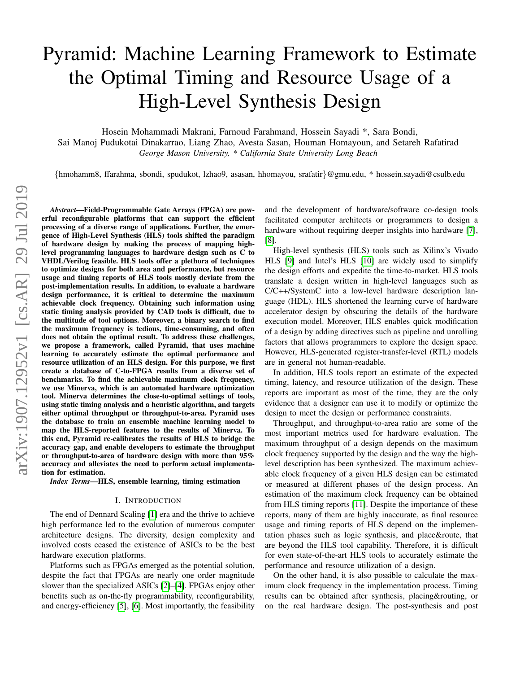# Pyramid: Machine Learning Framework to Estimate the Optimal Timing and Resource Usage of a High-Level Synthesis Design

Hosein Mohammadi Makrani, Farnoud Farahmand, Hossein Sayadi \*, Sara Bondi,

Sai Manoj Pudukotai Dinakarrao, Liang Zhao, Avesta Sasan, Houman Homayoun, and Setareh Rafatirad *George Mason University, \* California State University Long Beach*

{hmohamm8, ffarahma, sbondi, spudukot, lzhao9, asasan, hhomayou, srafatir}@gmu.edu, \* hossein.sayadi@csulb.edu

*Abstract*—Field-Programmable Gate Arrays (FPGA) are powerful reconfigurable platforms that can support the efficient processing of a diverse range of applications. Further, the emergence of High-Level Synthesis (HLS) tools shifted the paradigm of hardware design by making the process of mapping highlevel programming languages to hardware design such as C to VHDL/Verilog feasible. HLS tools offer a plethora of techniques to optimize designs for both area and performance, but resource usage and timing reports of HLS tools mostly deviate from the post-implementation results. In addition, to evaluate a hardware design performance, it is critical to determine the maximum achievable clock frequency. Obtaining such information using static timing analysis provided by CAD tools is difficult, due to the multitude of tool options. Moreover, a binary search to find the maximum frequency is tedious, time-consuming, and often does not obtain the optimal result. To address these challenges, we propose a framework, called Pyramid, that uses machine learning to accurately estimate the optimal performance and resource utilization of an HLS design. For this purpose, we first create a database of C-to-FPGA results from a diverse set of benchmarks. To find the achievable maximum clock frequency, we use Minerva, which is an automated hardware optimization tool. Minerva determines the close-to-optimal settings of tools, using static timing analysis and a heuristic algorithm, and targets either optimal throughput or throughput-to-area. Pyramid uses the database to train an ensemble machine learning model to map the HLS-reported features to the results of Minerva. To this end, Pyramid re-calibrates the results of HLS to bridge the accuracy gap, and enable developers to estimate the throughput or throughput-to-area of hardware design with more than 95% accuracy and alleviates the need to perform actual implementation for estimation.

#### *Index Terms*—HLS, ensemble learning, timing estimation

## I. INTRODUCTION

The end of Dennard Scaling [\[1\]](#page-6-0) era and the thrive to achieve high performance led to the evolution of numerous computer architecture designs. The diversity, design complexity and involved costs ceased the existence of ASICs to be the best hardware execution platforms.

Platforms such as FPGAs emerged as the potential solution, despite the fact that FPGAs are nearly one order magnitude slower than the specialized ASICs [\[2\]](#page-6-1)–[\[4\]](#page-6-2). FPGAs enjoy other benefits such as on-the-fly programmability, reconfigurability, and energy-efficiency [\[5\]](#page-6-3), [\[6\]](#page-6-4). Most importantly, the feasibility and the development of hardware/software co-design tools facilitated computer architects or programmers to design a hardware without requiring deeper insights into hardware [\[7\]](#page-6-5), [\[8\]](#page-6-6).

High-level synthesis (HLS) tools such as Xilinx's Vivado HLS [\[9\]](#page-6-7) and Intel's HLS [\[10\]](#page-6-8) are widely used to simplify the design efforts and expedite the time-to-market. HLS tools translate a design written in high-level languages such as C/C++/SystemC into a low-level hardware description language (HDL). HLS shortened the learning curve of hardware accelerator design by obscuring the details of the hardware execution model. Moreover, HLS enables quick modification of a design by adding directives such as pipeline and unrolling factors that allows programmers to explore the design space. However, HLS-generated register-transfer-level (RTL) models are in general not human-readable.

In addition, HLS tools report an estimate of the expected timing, latency, and resource utilization of the design. These reports are important as most of the time, they are the only evidence that a designer can use it to modify or optimize the design to meet the design or performance constraints.

Throughput, and throughput-to-area ratio are some of the most important metrics used for hardware evaluation. The maximum throughput of a design depends on the maximum clock frequency supported by the design and the way the highlevel description has been synthesized. The maximum achievable clock frequency of a given HLS design can be estimated or measured at different phases of the design process. An estimation of the maximum clock frequency can be obtained from HLS timing reports [\[11\]](#page-6-9). Despite the importance of these reports, many of them are highly inaccurate, as final resource usage and timing reports of HLS depend on the implementation phases such as logic synthesis, and place&route, that are beyond the HLS tool capability. Therefore, it is difficult for even state-of-the-art HLS tools to accurately estimate the performance and resource utilization of a design.

On the other hand, it is also possible to calculate the maximum clock frequency in the implementation process. Timing results can be obtained after synthesis, placing&routing, or on the real hardware design. The post-synthesis and post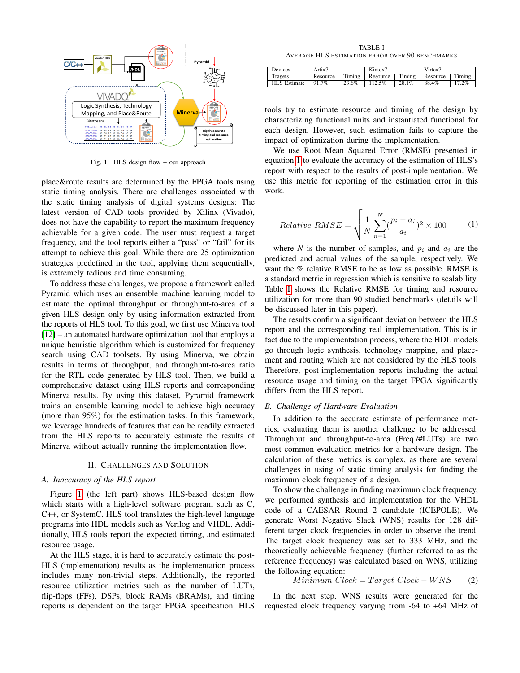

<span id="page-1-0"></span>Fig. 1. HLS design flow + our approach

place&route results are determined by the FPGA tools using static timing analysis. There are challenges associated with the static timing analysis of digital systems designs: The latest version of CAD tools provided by Xilinx (Vivado), does not have the capability to report the maximum frequency achievable for a given code. The user must request a target frequency, and the tool reports either a "pass" or "fail" for its attempt to achieve this goal. While there are 25 optimization strategies predefined in the tool, applying them sequentially, is extremely tedious and time consuming.

To address these challenges, we propose a framework called Pyramid which uses an ensemble machine learning model to estimate the optimal throughput or throughput-to-area of a given HLS design only by using information extracted from the reports of HLS tool. To this goal, we first use Minerva tool [\[12\]](#page-6-10) – an automated hardware optimization tool that employs a unique heuristic algorithm which is customized for frequency search using CAD toolsets. By using Minerva, we obtain results in terms of throughput, and throughput-to-area ratio for the RTL code generated by HLS tool. Then, we build a comprehensive dataset using HLS reports and corresponding Minerva results. By using this dataset, Pyramid framework trains an ensemble learning model to achieve high accuracy (more than 95%) for the estimation tasks. In this framework, we leverage hundreds of features that can be readily extracted from the HLS reports to accurately estimate the results of Minerva without actually running the implementation flow.

## II. CHALLENGES AND SOLUTION

#### *A. Inaccuracy of the HLS report*

Figure [1](#page-1-0) (the left part) shows HLS-based design flow which starts with a high-level software program such as C, C++, or SystemC. HLS tool translates the high-level language programs into HDL models such as Verilog and VHDL. Additionally, HLS tools report the expected timing, and estimated resource usage.

At the HLS stage, it is hard to accurately estimate the post-HLS (implementation) results as the implementation process includes many non-trivial steps. Additionally, the reported resource utilization metrics such as the number of LUTs, flip-flops (FFs), DSPs, block RAMs (BRAMs), and timing reports is dependent on the target FPGA specification. HLS

TABLE I AVERAGE HLS ESTIMATION ERROR OVER 90 BENCHMARKS

<span id="page-1-2"></span>

| Devices      | Artix7   |        | $Kintextrm{text}$ |        | Virtex7  |        |  |
|--------------|----------|--------|-------------------|--------|----------|--------|--|
| Tragets      | Resource | Timing | Resource          | Timing | Resource | Timing |  |
| HLS Estimate | 91.7%    | 23.6%  | 112.5%            | 28.1%  | 88.4%    | 17.2%  |  |

tools try to estimate resource and timing of the design by characterizing functional units and instantiated functional for each design. However, such estimation fails to capture the impact of optimization during the implementation.

We use Root Mean Squared Error (RMSE) presented in equation [1](#page-1-1) to evaluate the accuracy of the estimation of HLS's report with respect to the results of post-implementation. We use this metric for reporting of the estimation error in this work.

<span id="page-1-1"></span>
$$
Relative RMSE = \sqrt{\frac{1}{N} \sum_{n=1}^{N} (\frac{p_i - a_i}{a_i})^2} \times 100
$$
 (1)

where *N* is the number of samples, and  $p_i$  and  $a_i$  are the predicted and actual values of the sample, respectively. We want the % relative RMSE to be as low as possible. RMSE is a standard metric in regression which is sensitive to scalability. Table [I](#page-1-2) shows the Relative RMSE for timing and resource utilization for more than 90 studied benchmarks (details will be discussed later in this paper).

The results confirm a significant deviation between the HLS report and the corresponding real implementation. This is in fact due to the implementation process, where the HDL models go through logic synthesis, technology mapping, and placement and routing which are not considered by the HLS tools. Therefore, post-implementation reports including the actual resource usage and timing on the target FPGA significantly differs from the HLS report.

## *B. Challenge of Hardware Evaluation*

In addition to the accurate estimate of performance metrics, evaluating them is another challenge to be addressed. Throughput and throughput-to-area (Freq./#LUTs) are two most common evaluation metrics for a hardware design. The calculation of these metrics is complex, as there are several challenges in using of static timing analysis for finding the maximum clock frequency of a design.

To show the challenge in finding maximum clock frequency, we performed synthesis and implementation for the VHDL code of a CAESAR Round 2 candidate (ICEPOLE). We generate Worst Negative Slack (WNS) results for 128 different target clock frequencies in order to observe the trend. The target clock frequency was set to 333 MHz, and the theoretically achievable frequency (further referred to as the reference frequency) was calculated based on WNS, utilizing the following equation:

$$
Minimum \;Clock = Target \; Clock - WNS \qquad (2)
$$

In the next step, WNS results were generated for the requested clock frequency varying from -64 to +64 MHz of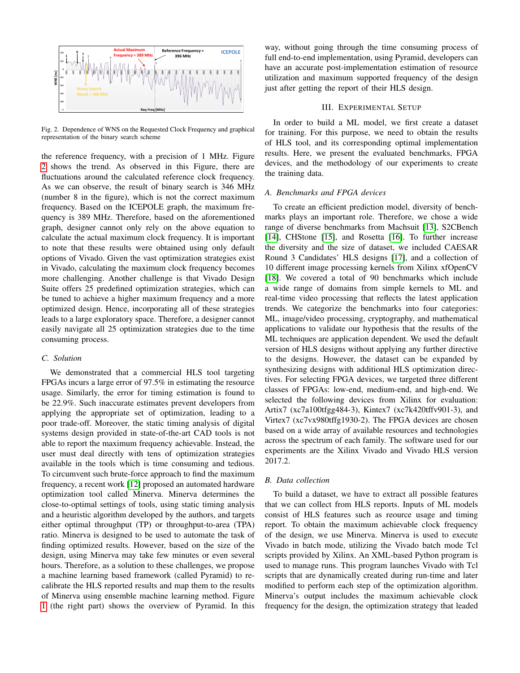

<span id="page-2-0"></span>Fig. 2. Dependence of WNS on the Requested Clock Frequency and graphical representation of the binary search scheme

the reference frequency, with a precision of 1 MHz. Figure [2](#page-2-0) shows the trend. As observed in this Figure, there are fluctuations around the calculated reference clock frequency. As we can observe, the result of binary search is 346 MHz (number 8 in the figure), which is not the correct maximum frequency. Based on the ICEPOLE graph, the maximum frequency is 389 MHz. Therefore, based on the aforementioned graph, designer cannot only rely on the above equation to calculate the actual maximum clock frequency. It is important to note that these results were obtained using only default options of Vivado. Given the vast optimization strategies exist in Vivado, calculating the maximum clock frequency becomes more challenging. Another challenge is that Vivado Design Suite offers 25 predefined optimization strategies, which can be tuned to achieve a higher maximum frequency and a more optimized design. Hence, incorporating all of these strategies leads to a large exploratory space. Therefore, a designer cannot easily navigate all 25 optimization strategies due to the time consuming process.

#### *C. Solution*

We demonstrated that a commercial HLS tool targeting FPGAs incurs a large error of 97.5% in estimating the resource usage. Similarly, the error for timing estimation is found to be 22.9%. Such inaccurate estimates prevent developers from applying the appropriate set of optimization, leading to a poor trade-off. Moreover, the static timing analysis of digital systems design provided in state-of-the-art CAD tools is not able to report the maximum frequency achievable. Instead, the user must deal directly with tens of optimization strategies available in the tools which is time consuming and tedious. To circumvent such brute-force approach to find the maximum frequency, a recent work [\[12\]](#page-6-10) proposed an automated hardware optimization tool called Minerva. Minerva determines the close-to-optimal settings of tools, using static timing analysis and a heuristic algorithm developed by the authors, and targets either optimal throughput (TP) or throughput-to-area (TPA) ratio. Minerva is designed to be used to automate the task of finding optimized results. However, based on the size of the design, using Minerva may take few minutes or even several hours. Therefore, as a solution to these challenges, we propose a machine learning based framework (called Pyramid) to recalibrate the HLS reported results and map them to the results of Minerva using ensemble machine learning method. Figure [1](#page-1-0) (the right part) shows the overview of Pyramid. In this

way, without going through the time consuming process of full end-to-end implementation, using Pyramid, developers can have an accurate post-implementation estimation of resource utilization and maximum supported frequency of the design just after getting the report of their HLS design.

## III. EXPERIMENTAL SETUP

In order to build a ML model, we first create a dataset for training. For this purpose, we need to obtain the results of HLS tool, and its corresponding optimal implementation results. Here, we present the evaluated benchmarks, FPGA devices, and the methodology of our experiments to create the training data.

### *A. Benchmarks and FPGA devices*

To create an efficient prediction model, diversity of benchmarks plays an important role. Therefore, we chose a wide range of diverse benchmarks from Machsuit [\[13\]](#page-6-11), S2CBench [\[14\]](#page-6-12), CHStone [\[15\]](#page-6-13), and Rosetta [\[16\]](#page-6-14). To further increase the diversity and the size of dataset, we included CAESAR Round 3 Candidates' HLS designs [\[17\]](#page-6-15), and a collection of 10 different image processing kernels from Xilinx xfOpenCV [\[18\]](#page-6-16). We covered a total of 90 benchmarks which include a wide range of domains from simple kernels to ML and real-time video processing that reflects the latest application trends. We categorize the benchmarks into four categories: ML, image/video processing, cryptography, and mathematical applications to validate our hypothesis that the results of the ML techniques are application dependent. We used the default version of HLS designs without applying any further directive to the designs. However, the dataset can be expanded by synthesizing designs with additional HLS optimization directives. For selecting FPGA devices, we targeted three different classes of FPGAs: low-end, medium-end, and high-end. We selected the following devices from Xilinx for evaluation: Artix7 (xc7a100tfgg484-3), Kintex7 (xc7k420tffv901-3), and Virtex7 (xc7vx980tffg1930-2). The FPGA devices are chosen based on a wide array of available resources and technologies across the spectrum of each family. The software used for our experiments are the Xilinx Vivado and Vivado HLS version 2017.2.

#### *B. Data collection*

To build a dataset, we have to extract all possible features that we can collect from HLS reports. Inputs of ML models consist of HLS features such as reource usage and timing report. To obtain the maximum achievable clock frequency of the design, we use Minerva. Minerva is used to execute Vivado in batch mode, utilizing the Vivado batch mode Tcl scripts provided by Xilinx. An XML-based Python program is used to manage runs. This program launches Vivado with Tcl scripts that are dynamically created during run-time and later modified to perform each step of the optimization algorithm. Minerva's output includes the maximum achievable clock frequency for the design, the optimization strategy that leaded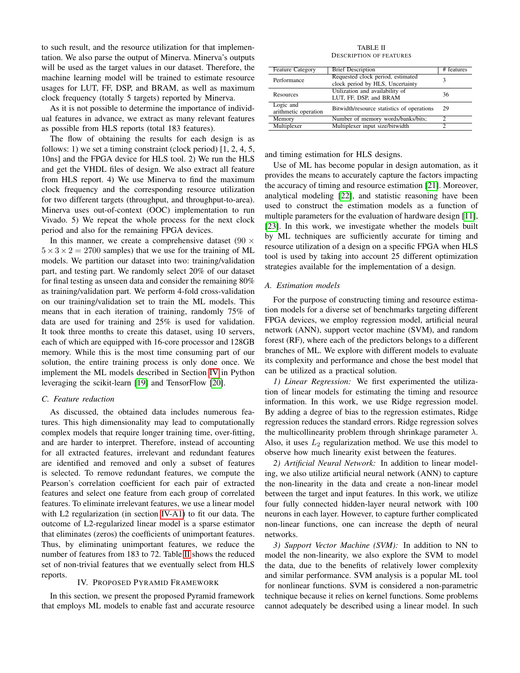to such result, and the resource utilization for that implementation. We also parse the output of Minerva. Minerva's outputs will be used as the target values in our dataset. Therefore, the machine learning model will be trained to estimate resource usages for LUT, FF, DSP, and BRAM, as well as maximum clock frequency (totally 5 targets) reported by Minerva.

As it is not possible to determine the importance of individual features in advance, we extract as many relevant features as possible from HLS reports (total 183 features).

The flow of obtaining the results for each design is as follows: 1) we set a timing constraint (clock period) [1, 2, 4, 5, 10ns] and the FPGA device for HLS tool. 2) We run the HLS and get the VHDL files of design. We also extract all feature from HLS report. 4) We use Minerva to find the maximum clock frequency and the corresponding resource utilization for two different targets (throughput, and throughput-to-area). Minerva uses out-of-context (OOC) implementation to run Vivado. 5) We repeat the whole process for the next clock period and also for the remaining FPGA devices.

In this manner, we create a comprehensive dataset (90  $\times$  $5 \times 3 \times 2 = 2700$  samples) that we use for the training of ML models. We partition our dataset into two: training/validation part, and testing part. We randomly select 20% of our dataset for final testing as unseen data and consider the remaining 80% as training/validation part. We perform 4-fold cross-validation on our training/validation set to train the ML models. This means that in each iteration of training, randomly 75% of data are used for training and 25% is used for validation. It took three months to create this dataset, using 10 servers, each of which are equipped with 16-core processor and 128GB memory. While this is the most time consuming part of our solution, the entire training process is only done once. We implement the ML models described in Section [IV](#page-3-0) in Python leveraging the scikit-learn [\[19\]](#page-6-17) and TensorFlow [\[20\]](#page-6-18).

#### *C. Feature reduction*

As discussed, the obtained data includes numerous features. This high dimensionality may lead to computationally complex models that require longer training time, over-fitting, and are harder to interpret. Therefore, instead of accounting for all extracted features, irrelevant and redundant features are identified and removed and only a subset of features is selected. To remove redundant features, we compute the Pearson's correlation coefficient for each pair of extracted features and select one feature from each group of correlated features. To eliminate irrelevant features, we use a linear model with L2 regularization (in section [IV-A1\)](#page-3-1) to fit our data. The outcome of L2-regularized linear model is a sparse estimator that eliminates (zeros) the coefficients of unimportant features. Thus, by eliminating unimportant features, we reduce the number of features from 183 to 72. Table [II](#page-3-2) shows the reduced set of non-trivial features that we eventually select from HLS reports.

### IV. PROPOSED PYRAMID FRAMEWORK

<span id="page-3-0"></span>In this section, we present the proposed Pyramid framework that employs ML models to enable fast and accurate resource

#### TABLE II DESCRIPTION OF FEATURES

<span id="page-3-2"></span>

| <b>Feature Category</b>           | <b>Brief Description</b>                                              | # features |
|-----------------------------------|-----------------------------------------------------------------------|------------|
| Performance                       | Requested clock period, estimated<br>clock period by HLS, Uncertainty | 3          |
| Resources                         | Utilization and availability of<br>LUT, FF, DSP, and BRAM             | 36         |
| Logic and<br>arithmetic operation | Bitwidth/resource statistics of operations                            | 29         |
| Memory                            | Number of memory words/banks/bits;                                    |            |
| Multiplexer                       | Multiplexer input size/bitwidth                                       |            |

and timing estimation for HLS designs.

Use of ML has become popular in design automation, as it provides the means to accurately capture the factors impacting the accuracy of timing and resource estimation [\[21\]](#page-6-19). Moreover, analytical modeling [\[22\]](#page-6-20), and statistic reasoning have been used to construct the estimation models as a function of multiple parameters for the evaluation of hardware design [\[11\]](#page-6-9), [\[23\]](#page-6-21). In this work, we investigate whether the models built by ML techniques are sufficiently accurate for timing and resource utilization of a design on a specific FPGA when HLS tool is used by taking into account 25 different optimization strategies available for the implementation of a design.

## *A. Estimation models*

For the purpose of constructing timing and resource estimation models for a diverse set of benchmarks targeting different FPGA devices, we employ regression model, artificial neural network (ANN), support vector machine (SVM), and random forest (RF), where each of the predictors belongs to a different branches of ML. We explore with different models to evaluate its complexity and performance and chose the best model that can be utilized as a practical solution.

<span id="page-3-1"></span>*1) Linear Regression:* We first experimented the utilization of linear models for estimating the timing and resource information. In this work, we use Ridge regression model. By adding a degree of bias to the regression estimates, Ridge regression reduces the standard errors. Ridge regression solves the multicollinearity problem through shrinkage parameter  $\lambda$ . Also, it uses  $L_2$  regularization method. We use this model to observe how much linearity exist between the features.

*2) Artificial Neural Network:* In addition to linear modeling, we also utilize artificial neural network (ANN) to capture the non-linearity in the data and create a non-linear model between the target and input features. In this work, we utilize four fully connected hidden-layer neural network with 100 neurons in each layer. However, to capture further complicated non-linear functions, one can increase the depth of neural networks.

*3) Support Vector Machine (SVM):* In addition to NN to model the non-linearity, we also explore the SVM to model the data, due to the benefits of relatively lower complexity and similar performance. SVM analysis is a popular ML tool for nonlinear functions. SVM is considered a non-parametric technique because it relies on kernel functions. Some problems cannot adequately be described using a linear model. In such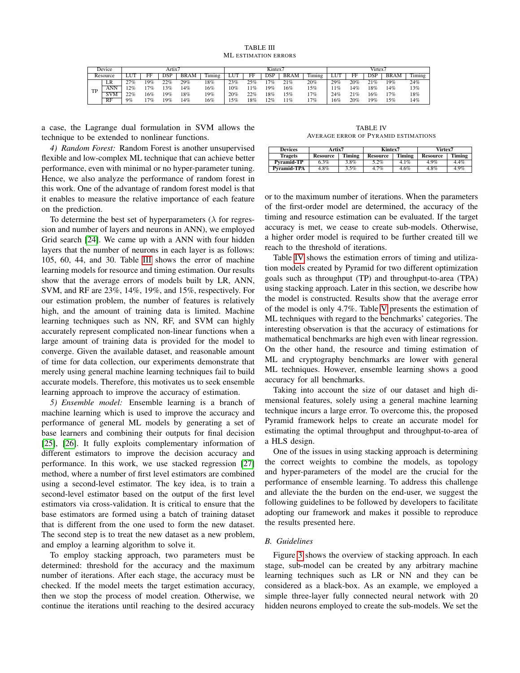TABLE III ML ESTIMATION ERRORS

<span id="page-4-0"></span>

|           | Device     |     |        | Artix7 |             |         | Kintex7 |     |     |             | Virtex7 |                  |     |            |             |        |
|-----------|------------|-----|--------|--------|-------------|---------|---------|-----|-----|-------------|---------|------------------|-----|------------|-------------|--------|
|           | Resource   |     |        | DSP    | <b>BRAM</b> | l'iming | LUT     | FF  | DSP | <b>BRAM</b> | Timing  | LU <sup>-1</sup> | FF  | <b>DSP</b> | <b>BRAM</b> | Timing |
|           | LR         | 27% | 19%    | 22%    | 29%         | 18%     | 23%     | 25% | 7%  | 21%         | 20%     | 29%              | 20% | 21%        | 19%         | 24%    |
| <b>TD</b> | ANN        | 2%  | 7%     | 13%    | 14%         | 16%     | $10\%$  | 11% | 19% | 16%         | 15%     | 1%               | 14% | 18%        | 14%         | 13%    |
|           | <b>SVM</b> | 22% | 16%    | 19%    | 18%         | 19%     | 20%     | 22% | 18% | 15%         | 7%      | 24%              | 21% | 16%        | 17%         | 18%    |
|           | RF         | 9%  | $.7\%$ | 19%    | 14%         | 16%     | 5%      | 18% | 2%  | $1\%$       | 7%      | 16%              | 20% | 19%        | 5%          | 14%    |

a case, the Lagrange dual formulation in SVM allows the technique to be extended to nonlinear functions.

*4) Random Forest:* Random Forest is another unsupervised flexible and low-complex ML technique that can achieve better performance, even with minimal or no hyper-parameter tuning. Hence, we also analyze the performance of random forest in this work. One of the advantage of random forest model is that it enables to measure the relative importance of each feature on the prediction.

To determine the best set of hyperparameters  $(\lambda)$  for regression and number of layers and neurons in ANN), we employed Grid search [\[24\]](#page-6-22). We came up with a ANN with four hidden layers that the number of neurons in each layer is as follows: 105, 60, 44, and 30. Table [III](#page-4-0) shows the error of machine learning models for resource and timing estimation. Our results show that the average errors of models built by LR, ANN, SVM, and RF are 23%, 14%, 19%, and 15%, respectively. For our estimation problem, the number of features is relatively high, and the amount of training data is limited. Machine learning techniques such as NN, RF, and SVM can highly accurately represent complicated non-linear functions when a large amount of training data is provided for the model to converge. Given the available dataset, and reasonable amount of time for data collection, our experiments demonstrate that merely using general machine learning techniques fail to build accurate models. Therefore, this motivates us to seek ensemble learning approach to improve the accuracy of estimation.

*5) Ensemble model:* Ensemble learning is a branch of machine learning which is used to improve the accuracy and performance of general ML models by generating a set of base learners and combining their outputs for final decision [\[25\]](#page-6-23), [\[26\]](#page-6-24). It fully exploits complementary information of different estimators to improve the decision accuracy and performance. In this work, we use stacked regression [\[27\]](#page-6-25) method, where a number of first level estimators are combined using a second-level estimator. The key idea, is to train a second-level estimator based on the output of the first level estimators via cross-validation. It is critical to ensure that the base estimators are formed using a batch of training dataset that is different from the one used to form the new dataset. The second step is to treat the new dataset as a new problem, and employ a learning algorithm to solve it.

To employ stacking approach, two parameters must be determined: threshold for the accuracy and the maximum number of iterations. After each stage, the accuracy must be checked. If the model meets the target estimation accuracy, then we stop the process of model creation. Otherwise, we continue the iterations until reaching to the desired accuracy

TABLE IV AVERAGE ERROR OF PYRAMID ESTIMATIONS

<span id="page-4-1"></span>

| <b>Devices</b>    | Artix7          |               | Kintex7         |               | Virtex7         |        |  |
|-------------------|-----------------|---------------|-----------------|---------------|-----------------|--------|--|
| Tragets           | <b>Resource</b> | <b>Timing</b> | <b>Resource</b> | <b>Timing</b> | <b>Resource</b> | Timing |  |
| <b>Pyramid-TP</b> | 6.3%            | 3.8%          | $5.2\%$         | 4.1%          | 4.9%            | 4.4%   |  |
| Pyramid-TPA       | 4.8%            | 3.5%          | 4.7%            | 4.6%          | $4.8\%$         | 4.9%   |  |

or to the maximum number of iterations. When the parameters of the first-order model are determined, the accuracy of the timing and resource estimation can be evaluated. If the target accuracy is met, we cease to create sub-models. Otherwise, a higher order model is required to be further created till we reach to the threshold of iterations.

Table [IV](#page-4-1) shows the estimation errors of timing and utilization models created by Pyramid for two different optimization goals such as throughput (TP) and throughput-to-area (TPA) using stacking approach. Later in this section, we describe how the model is constructed. Results show that the average error of the model is only 4.7%. Table [V](#page-5-0) presents the estimation of ML techniques with regard to the benchmarks' categories. The interesting observation is that the accuracy of estimations for mathematical benchmarks are high even with linear regression. On the other hand, the resource and timing estimation of ML and cryptography benchmarks are lower with general ML techniques. However, ensemble learning shows a good accuracy for all benchmarks.

Taking into account the size of our dataset and high dimensional features, solely using a general machine learning technique incurs a large error. To overcome this, the proposed Pyramid framework helps to create an accurate model for estimating the optimal throughput and throughput-to-area of a HLS design.

One of the issues in using stacking approach is determining the correct weights to combine the models, as topology and hyper-parameters of the model are the crucial for the performance of ensemble learning. To address this challenge and alleviate the the burden on the end-user, we suggest the following guidelines to be followed by developers to facilitate adopting our framework and makes it possible to reproduce the results presented here.

## *B. Guidelines*

Figure [3](#page-5-1) shows the overview of stacking approach. In each stage, sub-model can be created by any arbitrary machine learning techniques such as LR or NN and they can be considered as a black-box. As an example, we employed a simple three-layer fully connected neural network with 20 hidden neurons employed to create the sub-models. We set the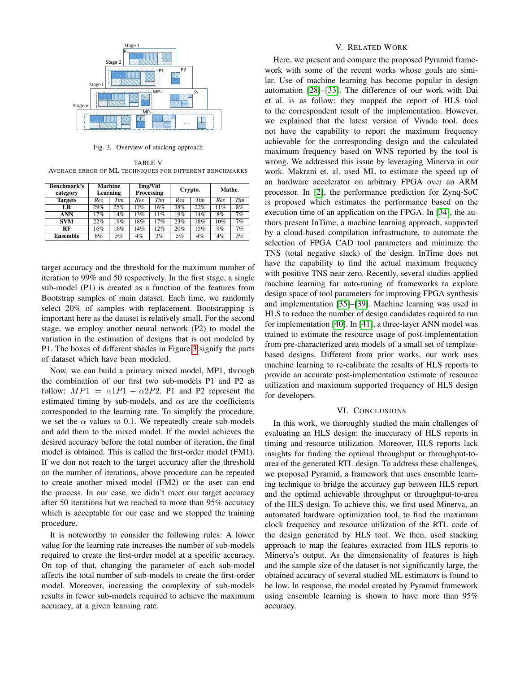

<span id="page-5-1"></span>Fig. 3. Overview of stacking approach

<span id="page-5-0"></span>TABLE V AVERAGE ERROR OF ML TECHNIQUES FOR DIFFERENT BENCHMARKS

| <b>Benchmark's</b><br>category | <b>Machine</b><br>Learning |     |       | Img/Vid<br><b>Processing</b> |     | Crypto. | Mathe. |    |  |
|--------------------------------|----------------------------|-----|-------|------------------------------|-----|---------|--------|----|--|
| <b>Targets</b>                 | Tim<br>Tim<br>Res<br>Res   |     | Res   | Tim                          | Res | Tim     |        |    |  |
| LR                             | 29%                        | 25% | 17%   | 16%                          | 38% | 22%     | 11%    | 8% |  |
| ANN                            | 17%                        | 14% | 13%   | 11%                          | 19% | 14%     | 8%     | 7% |  |
| <b>SVM</b>                     | 22%                        | 19% | 18%   | 17%                          | 23% | 18%     | 10%    | 7% |  |
| RF                             | 16%                        | 16% | 14%   | 12%                          | 20% | 15%     | 9%     | 7% |  |
| Ensemble                       | 6%                         | 5%  | $4\%$ | 3%                           | 5%  | 4%      | $4\%$  | 3% |  |

target accuracy and the threshold for the maximum number of iteration to 99% and 50 respectively. In the first stage, a single sub-model (P1) is created as a function of the features from Bootstrap samples of main dataset. Each time, we randomly select 20% of samples with replacement. Bootstrapping is important here as the dataset is relatively small. For the second stage, we employ another neural network (P2) to model the variation in the estimation of designs that is not modeled by P1. The boxes of different shades in Figure [3](#page-5-1) signify the parts of dataset which have been modeled.

Now, we can build a primary mixed model, MP1, through the combination of our first two sub-models P1 and P2 as follow:  $MP1 = \alpha 1P1 + \alpha 2P2$ . P1 and P2 represent the estimated timing by sub-models, and  $\alpha s$  are the coefficients corresponded to the learning rate. To simplify the procedure, we set the  $\alpha$  values to 0.1. We repeatedly create sub-models and add them to the mixed model. If the model achieves the desired accuracy before the total number of iteration, the final model is obtained. This is called the first-order model (FM1). If we don not reach to the target accuracy after the threshold on the number of iterations, above procedure can be repeated to create another mixed model (FM2) or the user can end the process. In our case, we didn't meet our target accuracy after 50 iterations but we reached to more than 95% accuracy which is acceptable for our case and we stopped the training procedure.

It is noteworthy to consider the following rules: A lower value for the learning rate increases the number of sub-models required to create the first-order model at a specific accuracy. On top of that, changing the parameter of each sub-model affects the total number of sub-models to create the first-order model. Moreover, increasing the complexity of sub-models results in fewer sub-models required to achieve the maximum accuracy, at a given learning rate.

## V. RELATED WORK

Here, we present and compare the proposed Pyramid framework with some of the recent works whose goals are similar. Use of machine learning has become popular in design automation [\[28\]](#page-6-26)–[\[33\]](#page-6-27). The difference of our work with Dai et al. is as follow: they mapped the report of HLS tool to the correspondent result of the implementation. However, we explained that the latest version of Vivado tool, does not have the capability to report the maximum frequency achievable for the corresponding design and the calculated maximum frequency based on WNS reported by the tool is wrong. We addressed this issue by leveraging Minerva in our work. Makrani et. al. used ML to estimate the speed up of an hardware accelerator on arbitrary FPGA over an ARM processor. In [\[2\]](#page-6-1), the performance prediction for Zynq-SoC is proposed which estimates the performance based on the execution time of an application on the FPGA. In [\[34\]](#page-6-28), the authors present InTime, a machine learning approach, supported by a cloud-based compilation infrastructure, to automate the selection of FPGA CAD tool parameters and minimize the TNS (total negative slack) of the design. InTime does not have the capability to find the actual maximum frequency with positive TNS near zero. Recently, several studies applied machine learning for auto-tuning of frameworks to explore design space of tool parameters for improving FPGA synthesis and implementation [\[35\]](#page-6-29)–[\[39\]](#page-6-30). Machine learning was used in HLS to reduce the number of design candidates required to run for implementation [\[40\]](#page-6-31). In [\[41\]](#page-6-32), a three-layer ANN model was trained to estimate the resource usage of post-implementation from pre-characterized area models of a small set of templatebased designs. Different from prior works, our work uses machine learning to re-calibrate the results of HLS reports to provide an accurate post-implementation estimate of resource utilization and maximum supported frequency of HLS design for developers.

#### VI. CONCLUSIONS

In this work, we thoroughly studied the main challenges of evaluating an HLS design: the inaccuracy of HLS reports in timing and resource utilization. Moreover, HLS reports lack insights for finding the optimal throughput or throughput-toarea of the generated RTL design. To address these challenges, we proposed Pyramid, a framework that uses ensemble learning technique to bridge the accuracy gap between HLS report and the optimal achievable throughput or throughput-to-area of the HLS design. To achieve this, we first used Minerva, an automated hardware optimization tool, to find the maximum clock frequency and resource utilization of the RTL code of the design generated by HLS tool. We then, used stacking approach to map the features extracted from HLS reports to Minerva's output. As the dimensionality of features is high and the sample size of the dataset is not significantly large, the obtained accuracy of several studied ML estimators is found to be low. In response, the model created by Pyramid framework using ensemble learning is shown to have more than 95% accuracy.